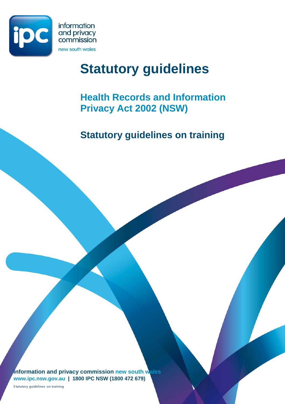

# **Statutory guidelines**

## **Health Records and Information Privacy Act 2002 (NSW)**

**Statutory guidelines on training** 

**information and privacy commission new south wales www.ipc.nsw.gov.au | 1800 IPC NSW (1800 472 679)**

S tatutory guidelines on training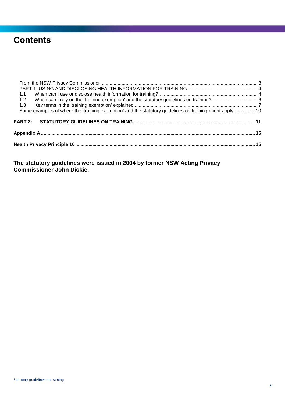## **Contents**

| 1.1                                                                                                     |  |  |  |  |  |
|---------------------------------------------------------------------------------------------------------|--|--|--|--|--|
| 1.2                                                                                                     |  |  |  |  |  |
| 1.3                                                                                                     |  |  |  |  |  |
| Some examples of where the 'training exemption' and the statutory guidelines on training might apply 10 |  |  |  |  |  |
|                                                                                                         |  |  |  |  |  |
|                                                                                                         |  |  |  |  |  |
|                                                                                                         |  |  |  |  |  |

**The statutory guidelines were issued in 2004 by former NSW Acting Privacy Commissioner John Dickie.**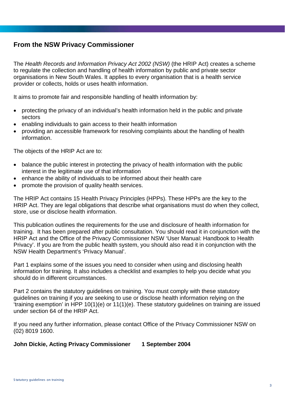## <span id="page-2-0"></span>**From the NSW Privacy Commissioner**

The *Health Records and Information Privacy Act 2002 (NSW)* (the HRIP Act) creates a scheme to regulate the collection and handling of health information by public and private sector organisations in New South Wales. It applies to every organisation that is a health service provider or collects, holds or uses health information.

It aims to promote fair and responsible handling of health information by:

- protecting the privacy of an individual's health information held in the public and private sectors
- enabling individuals to gain access to their health information
- providing an accessible framework for resolving complaints about the handling of health information.

The objects of the HRIP Act are to:

- balance the public interest in protecting the privacy of health information with the public interest in the legitimate use of that information
- enhance the ability of individuals to be informed about their health care
- promote the provision of quality health services.

The HRIP Act contains 15 Health Privacy Principles (HPPs). These HPPs are the key to the HRIP Act. They are legal obligations that describe what organisations must do when they collect, store, use or disclose health information.

This publication outlines the requirements for the use and disclosure of health information for training. It has been prepared after public consultation. You should read it in conjunction with the HRIP Act and the Office of the Privacy Commissioner NSW 'User Manual: Handbook to Health Privacy'. If you are from the public health system, you should also read it in conjunction with the NSW Health Department's 'Privacy Manual'.

Part 1 explains some of the issues you need to consider when using and disclosing health information for training. It also includes a checklist and examples to help you decide what you should do in different circumstances.

Part 2 contains the statutory guidelines on training. You must comply with these statutory guidelines on training if you are seeking to use or disclose health information relying on the 'training exemption' in HPP 10(1)(e) or 11(1)(e). These statutory guidelines on training are issued under section 64 of the HRIP Act.

If you need any further information, please contact Office of the Privacy Commissioner NSW on (02) 8019 1600.

**John Dickie, Acting Privacy Commissioner 1 September 2004**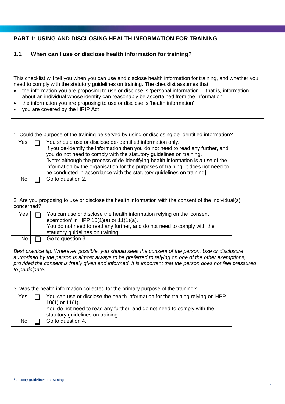## <span id="page-3-0"></span>**PART 1: USING AND DISCLOSING HEALTH INFORMATION FOR TRAINING**

## <span id="page-3-1"></span>**1.1 When can I use or disclose health information for training?**

This checklist will tell you when you can use and disclose health information for training, and whether you need to comply with the statutory guidelines on training. The checklist assumes that:

- the information you are proposing to use or disclose is 'personal information' that is, information about an individual whose identity can reasonably be ascertained from the information
- the information you are proposing to use or disclose is 'health information'
- you are covered by the HRIP Act

1. Could the purpose of the training be served by using or disclosing de-identified information?

| Yes | You should use or disclose de-identified information only.                        |
|-----|-----------------------------------------------------------------------------------|
|     | If you de-identify the information then you do not need to read any further, and  |
|     | you do not need to comply with the statutory guidelines on training.              |
|     | [Note: although the process of de-identifying health information is a use of the  |
|     | information by the organisation for the purposes of training, it does not need to |
|     | be conducted in accordance with the statutory guidelines on training]             |
| No  | Go to question 2.                                                                 |

2. Are you proposing to use or disclose the health information with the consent of the individual(s) concerned?

| Yes       | You can use or disclose the health information relying on the 'consent'<br>exemption' in HPP $10(1)(a)$ or $11(1)(a)$ .<br>You do not need to read any further, and do not need to comply with the<br>statutory guidelines on training. |
|-----------|-----------------------------------------------------------------------------------------------------------------------------------------------------------------------------------------------------------------------------------------|
| <b>No</b> | Go to question 3.                                                                                                                                                                                                                       |

*Best practice tip: Wherever possible, you should seek the consent of the person. Use or disclosure authorised by the person is almost always to be preferred to relying on one of the other exemptions, provided the consent is freely given and informed. It is important that the person does not feel pressured to participate.*

3. Was the health information collected for the primary purpose of the training?

| Yes       | You can use or disclose the health information for the training relying on HPP<br>$10(1)$ or $11(1)$ .<br>You do not need to read any further, and do not need to comply with the<br>statutory guidelines on training. |
|-----------|------------------------------------------------------------------------------------------------------------------------------------------------------------------------------------------------------------------------|
| <b>No</b> | Go to question 4.                                                                                                                                                                                                      |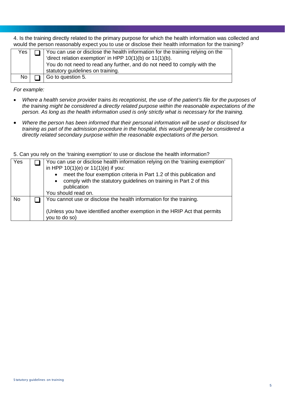4. Is the training directly related to the primary purpose for which the health information was collected and would the person reasonably expect you to use or disclose their health information for the training?

| Yes ' | You can use or disclose the health information for the training relying on the<br>'direct relation exemption' in HPP $10(1)(b)$ or $11(1)(b)$ .<br>You do not need to read any further, and do not need to comply with the<br>statutory guidelines on training. |
|-------|-----------------------------------------------------------------------------------------------------------------------------------------------------------------------------------------------------------------------------------------------------------------|
| No    | Go to question 5.                                                                                                                                                                                                                                               |

*For example:*

- *Where a health service provider trains its receptionist, the use of the patient's file for the purposes of the training might be considered a directly related purpose within the reasonable expectations of the person. As long as the health information used is only strictly what is necessary for the training.*
- *Where the person has been informed that their personal information will be used or disclosed for training as part of the admission procedure in the hospital, this would generally be considered a directly related secondary purpose within the reasonable expectations of the person.*

5. Can you rely on the 'training exemption' to use or disclose the health information?

| Yes       | You can use or disclose health information relying on the 'training exemption'<br>in HPP $10(1)(e)$ or $11(1)(e)$ if you:<br>meet the four exemption criteria in Part 1.2 of this publication and<br>$\bullet$<br>comply with the statutory guidelines on training in Part 2 of this<br>$\bullet$<br>publication |
|-----------|------------------------------------------------------------------------------------------------------------------------------------------------------------------------------------------------------------------------------------------------------------------------------------------------------------------|
|           | You should read on.                                                                                                                                                                                                                                                                                              |
| <b>No</b> | You cannot use or disclose the health information for the training.                                                                                                                                                                                                                                              |
|           | (Unless you have identified another exemption in the HRIP Act that permits<br>you to do so)                                                                                                                                                                                                                      |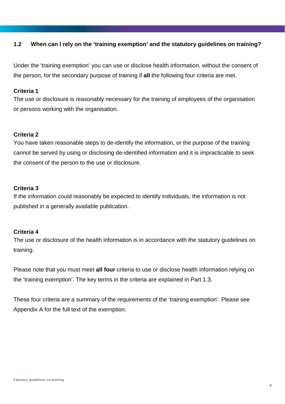## <span id="page-5-0"></span>**1.2 When can I rely on the 'training exemption' and the statutory guidelines on training?**

Under the 'training exemption' you can use or disclose health information, without the consent of the person, for the secondary purpose of training if **all** the following four criteria are met.

## **Criteria 1**

The use or disclosure is reasonably necessary for the training of employees of the organisation or persons working with the organisation.

## **Criteria 2**

You have taken reasonable steps to de-identify the information, or the purpose of the training cannot be served by using or disclosing de-identified information and it is impracticable to seek the consent of the person to the use or disclosure.

## **Criteria 3**

If the information could reasonably be expected to identify individuals, the information is not published in a generally available publication.

## **Criteria 4**

The use or disclosure of the health information is in accordance with the statutory guidelines on training.

Please note that you must meet **all four** criteria to use or disclose health information relying on the 'training exemption'. The key terms in the criteria are explained in Part 1.3.

These four criteria are a summary of the requirements of the 'training exemption'. Please see Appendix A for the full text of the exemption.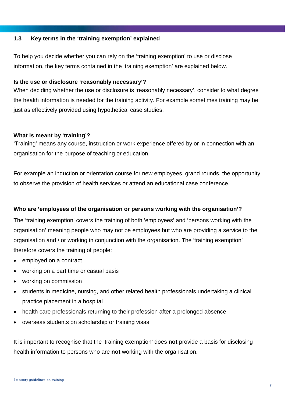## <span id="page-6-0"></span>**1.3 Key terms in the 'training exemption' explained**

To help you decide whether you can rely on the 'training exemption' to use or disclose information, the key terms contained in the 'training exemption' are explained below.

## **Is the use or disclosure 'reasonably necessary'?**

When deciding whether the use or disclosure is 'reasonably necessary', consider to what degree the health information is needed for the training activity. For example sometimes training may be just as effectively provided using hypothetical case studies.

## **What is meant by 'training'?**

'Training' means any course, instruction or work experience offered by or in connection with an organisation for the purpose of teaching or education.

For example an induction or orientation course for new employees, grand rounds, the opportunity to observe the provision of health services or attend an educational case conference.

## **Who are 'employees of the organisation or persons working with the organisation'?**

The 'training exemption' covers the training of both 'employees' and 'persons working with the organisation' meaning people who may not be employees but who are providing a service to the organisation and / or working in conjunction with the organisation. The 'training exemption' therefore covers the training of people:

- employed on a contract
- working on a part time or casual basis
- working on commission
- students in medicine, nursing, and other related health professionals undertaking a clinical practice placement in a hospital
- health care professionals returning to their profession after a prolonged absence
- overseas students on scholarship or training visas.

It is important to recognise that the 'training exemption' does **not** provide a basis for disclosing health information to persons who are **not** working with the organisation.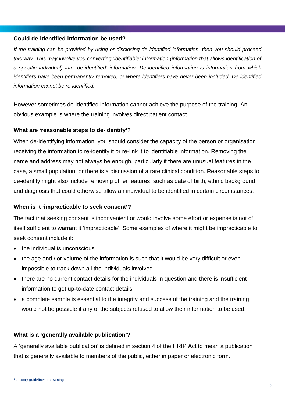## **Could de-identified information be used?**

*If the training can be provided by using or disclosing de-identified information, then you should proceed this way. This may involve you converting 'identifiable' information (information that allows identification of a specific individual) into 'de-identified' information. De-identified information is information from which identifiers have been permanently removed, or where identifiers have never been included. De-identified information cannot be re-identified.*

However sometimes de-identified information cannot achieve the purpose of the training. An obvious example is where the training involves direct patient contact.

## **What are 'reasonable steps to de-identify'?**

When de-identifying information, you should consider the capacity of the person or organisation receiving the information to re-identify it or re-link it to identifiable information. Removing the name and address may not always be enough, particularly if there are unusual features in the case, a small population, or there is a discussion of a rare clinical condition. Reasonable steps to de-identify might also include removing other features, such as date of birth, ethnic background, and diagnosis that could otherwise allow an individual to be identified in certain circumstances.

#### **When is it 'impracticable to seek consent'?**

The fact that seeking consent is inconvenient or would involve some effort or expense is not of itself sufficient to warrant it 'impracticable'. Some examples of where it might be impracticable to seek consent include if:

- the individual is unconscious
- the age and / or volume of the information is such that it would be very difficult or even impossible to track down all the individuals involved
- there are no current contact details for the individuals in question and there is insufficient information to get up-to-date contact details
- a complete sample is essential to the integrity and success of the training and the training would not be possible if any of the subjects refused to allow their information to be used.

#### **What is a 'generally available publication'?**

A 'generally available publication' is defined in section 4 of the HRIP Act to mean a publication that is generally available to members of the public, either in paper or electronic form.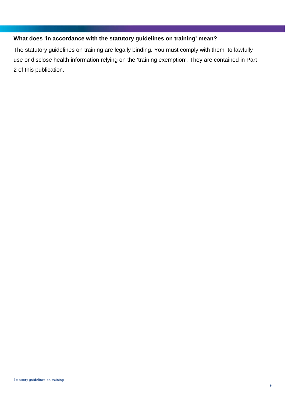## **What does 'in accordance with the statutory guidelines on training' mean?**

The statutory guidelines on training are legally binding. You must comply with them to lawfully use or disclose health information relying on the 'training exemption'. They are contained in Part 2 of this publication.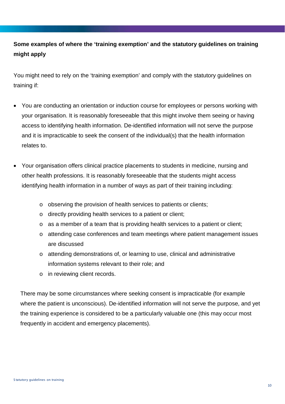## <span id="page-9-0"></span>**Some examples of where the 'training exemption' and the statutory guidelines on training might apply**

You might need to rely on the 'training exemption' and comply with the statutory guidelines on training if:

- You are conducting an orientation or induction course for employees or persons working with your organisation. It is reasonably foreseeable that this might involve them seeing or having access to identifying health information. De-identified information will not serve the purpose and it is impracticable to seek the consent of the individual(s) that the health information relates to.
- Your organisation offers clinical practice placements to students in medicine, nursing and other health professions. It is reasonably foreseeable that the students might access identifying health information in a number of ways as part of their training including:
	- o observing the provision of health services to patients or clients;
	- o directly providing health services to a patient or client;
	- $\circ$  as a member of a team that is providing health services to a patient or client;
	- o attending case conferences and team meetings where patient management issues are discussed
	- o attending demonstrations of, or learning to use, clinical and administrative information systems relevant to their role; and
	- o in reviewing client records.

There may be some circumstances where seeking consent is impracticable (for example where the patient is unconscious). De-identified information will not serve the purpose, and yet the training experience is considered to be a particularly valuable one (this may occur most frequently in accident and emergency placements).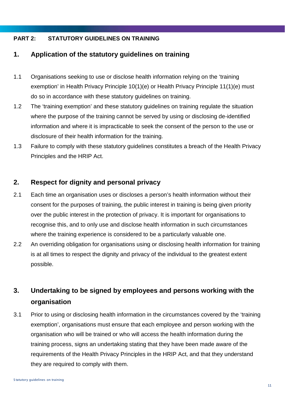## <span id="page-10-0"></span>**PART 2: STATUTORY GUIDELINES ON TRAINING**

## **1. Application of the statutory guidelines on training**

- 1.1 Organisations seeking to use or disclose health information relying on the 'training exemption' in Health Privacy Principle 10(1)(e) or Health Privacy Principle 11(1)(e) must do so in accordance with these statutory guidelines on training.
- 1.2 The 'training exemption' and these statutory guidelines on training regulate the situation where the purpose of the training cannot be served by using or disclosing de-identified information and where it is impracticable to seek the consent of the person to the use or disclosure of their health information for the training.
- 1.3 Failure to comply with these statutory guidelines constitutes a breach of the Health Privacy Principles and the HRIP Act.

## **2. Respect for dignity and personal privacy**

- 2.1 Each time an organisation uses or discloses a person's health information without their consent for the purposes of training, the public interest in training is being given priority over the public interest in the protection of privacy. It is important for organisations to recognise this, and to only use and disclose health information in such circumstances where the training experience is considered to be a particularly valuable one.
- 2.2 An overriding obligation for organisations using or disclosing health information for training is at all times to respect the dignity and privacy of the individual to the greatest extent possible.

## **3. Undertaking to be signed by employees and persons working with the organisation**

3.1 Prior to using or disclosing health information in the circumstances covered by the 'training exemption', organisations must ensure that each employee and person working with the organisation who will be trained or who will access the health information during the training process, signs an undertaking stating that they have been made aware of the requirements of the Health Privacy Principles in the HRIP Act, and that they understand they are required to comply with them.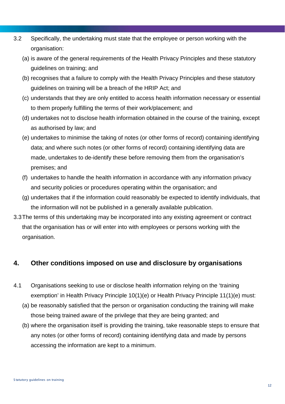- 3.2 Specifically, the undertaking must state that the employee or person working with the organisation:
	- (a) is aware of the general requirements of the Health Privacy Principles and these statutory guidelines on training; and
	- (b) recognises that a failure to comply with the Health Privacy Principles and these statutory guidelines on training will be a breach of the HRIP Act; and
	- (c) understands that they are only entitled to access health information necessary or essential to them properly fulfilling the terms of their work/placement; and
	- (d) undertakes not to disclose health information obtained in the course of the training, except as authorised by law; and
	- (e) undertakes to minimise the taking of notes (or other forms of record) containing identifying data; and where such notes (or other forms of record) containing identifying data are made, undertakes to de-identify these before removing them from the organisation's premises; and
	- (f) undertakes to handle the health information in accordance with any information privacy and security policies or procedures operating within the organisation; and
	- (g) undertakes that if the information could reasonably be expected to identify individuals, that the information will not be published in a generally available publication.
- 3.3The terms of this undertaking may be incorporated into any existing agreement or contract that the organisation has or will enter into with employees or persons working with the organisation.

## **4. Other conditions imposed on use and disclosure by organisations**

- 4.1 Organisations seeking to use or disclose health information relying on the 'training exemption' in Health Privacy Principle 10(1)(e) or Health Privacy Principle 11(1)(e) must:
	- (a) be reasonably satisfied that the person or organisation conducting the training will make those being trained aware of the privilege that they are being granted; and
	- (b) where the organisation itself is providing the training, take reasonable steps to ensure that any notes (or other forms of record) containing identifying data and made by persons accessing the information are kept to a minimum.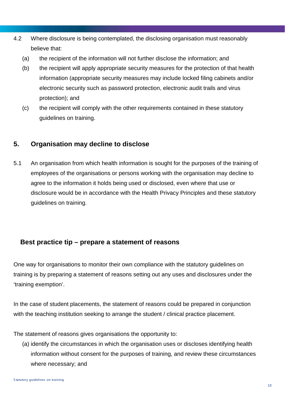- 4.2 Where disclosure is being contemplated, the disclosing organisation must reasonably believe that:
	- (a) the recipient of the information will not further disclose the information; and
	- (b) the recipient will apply appropriate security measures for the protection of that health information (appropriate security measures may include locked filing cabinets and/or electronic security such as password protection, electronic audit trails and virus protection); and
	- (c) the recipient will comply with the other requirements contained in these statutory guidelines on training.

## **5. Organisation may decline to disclose**

5.1 An organisation from which health information is sought for the purposes of the training of employees of the organisations or persons working with the organisation may decline to agree to the information it holds being used or disclosed, even where that use or disclosure would be in accordance with the Health Privacy Principles and these statutory guidelines on training.

## **Best practice tip – prepare a statement of reasons**

One way for organisations to monitor their own compliance with the statutory guidelines on training is by preparing a statement of reasons setting out any uses and disclosures under the 'training exemption'.

In the case of student placements, the statement of reasons could be prepared in conjunction with the teaching institution seeking to arrange the student / clinical practice placement.

The statement of reasons gives organisations the opportunity to:

(a) identify the circumstances in which the organisation uses or discloses identifying health information without consent for the purposes of training, and review these circumstances where necessary; and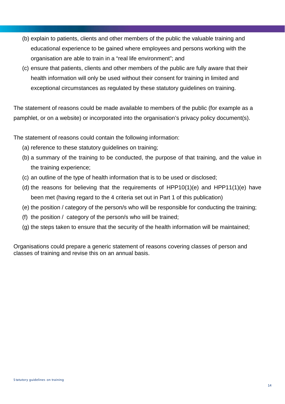- (b) explain to patients, clients and other members of the public the valuable training and educational experience to be gained where employees and persons working with the organisation are able to train in a "real life environment"; and
- (c) ensure that patients, clients and other members of the public are fully aware that their health information will only be used without their consent for training in limited and exceptional circumstances as regulated by these statutory guidelines on training.

The statement of reasons could be made available to members of the public (for example as a pamphlet, or on a website) or incorporated into the organisation's privacy policy document(s).

The statement of reasons could contain the following information:

- (a) reference to these statutory guidelines on training;
- (b) a summary of the training to be conducted, the purpose of that training, and the value in the training experience;
- (c) an outline of the type of health information that is to be used or disclosed;
- (d) the reasons for believing that the requirements of HPP10(1)(e) and HPP11(1)(e) have been met (having regard to the 4 criteria set out in Part 1 of this publication)
- (e) the position / category of the person/s who will be responsible for conducting the training;
- (f) the position / category of the person/s who will be trained;
- (g) the steps taken to ensure that the security of the health information will be maintained;

Organisations could prepare a generic statement of reasons covering classes of person and classes of training and revise this on an annual basis.